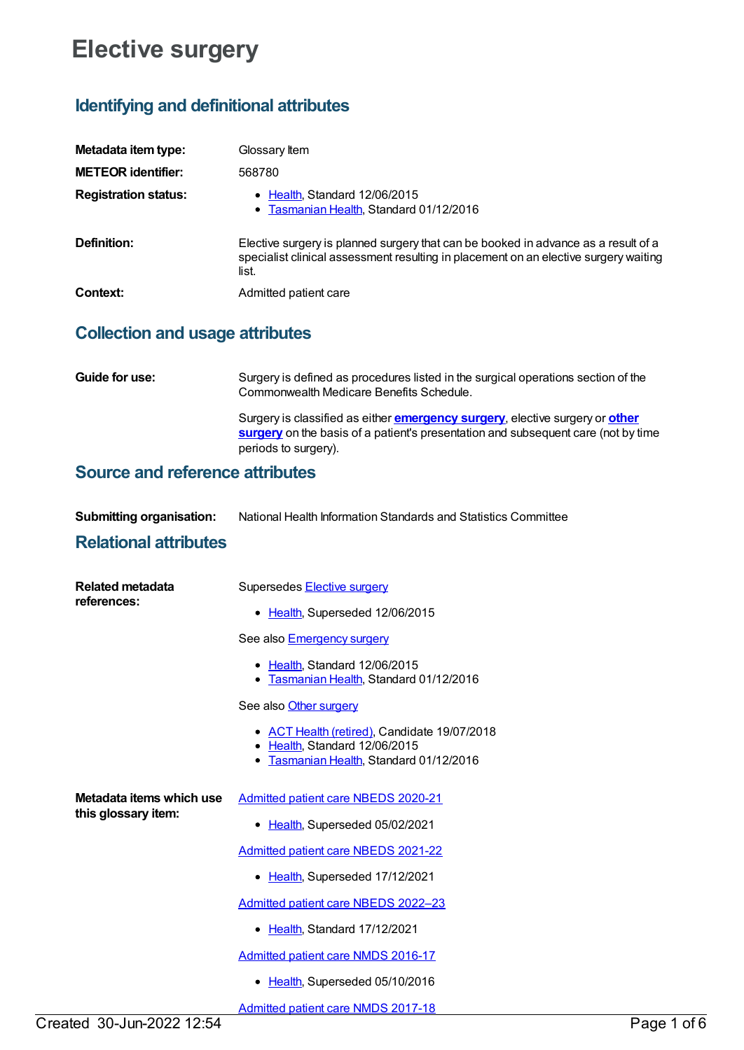# **Elective surgery**

# **Identifying and definitional attributes**

| Metadata item type:         | Glossary Item                                                                                                                                                                       |
|-----------------------------|-------------------------------------------------------------------------------------------------------------------------------------------------------------------------------------|
| <b>METEOR identifier:</b>   | 568780                                                                                                                                                                              |
| <b>Registration status:</b> | Health, Standard 12/06/2015<br>• Tasmanian Health, Standard 01/12/2016                                                                                                              |
| Definition:                 | Elective surgery is planned surgery that can be booked in advance as a result of a<br>specialist clinical assessment resulting in placement on an elective surgery waiting<br>list. |
| Context:                    | Admitted patient care                                                                                                                                                               |

## **Collection and usage attributes**

| <b>Guide for use:</b> | Surgery is defined as procedures listed in the surgical operations section of the<br>Commonwealth Medicare Benefits Schedule.                                                                            |
|-----------------------|----------------------------------------------------------------------------------------------------------------------------------------------------------------------------------------------------------|
|                       | Surgery is classified as either <b>emergency surgery</b> , elective surgery or <b>other</b><br>surgery on the basis of a patient's presentation and subsequent care (not by time<br>periods to surgery). |

### **Source and reference attributes**

| <b>Submitting organisation:</b> | National Health Information Standards and Statistics Committee |
|---------------------------------|----------------------------------------------------------------|
| __                              |                                                                |

### **Relational attributes**

| <b>Related metadata</b><br>references:          | Supersedes <b>Elective surgery</b><br>• Health, Superseded 12/06/2015                                                  |
|-------------------------------------------------|------------------------------------------------------------------------------------------------------------------------|
|                                                 | See also <b>Emergency surgery</b>                                                                                      |
|                                                 | • Health, Standard 12/06/2015<br>Tasmanian Health, Standard 01/12/2016<br>٠                                            |
|                                                 | See also Other surgery                                                                                                 |
|                                                 | • ACT Health (retired), Candidate 19/07/2018<br>• Health, Standard 12/06/2015<br>Tasmanian Health, Standard 01/12/2016 |
| Metadata items which use<br>this glossary item: | <b>Admitted patient care NBEDS 2020-21</b>                                                                             |
|                                                 | Health, Superseded 05/02/2021<br>$\bullet$                                                                             |
|                                                 | <b>Admitted patient care NBEDS 2021-22</b>                                                                             |
|                                                 | Health, Superseded 17/12/2021<br>٠                                                                                     |
|                                                 | Admitted patient care NBEDS 2022-23                                                                                    |
|                                                 | • Health, Standard 17/12/2021                                                                                          |
|                                                 | <b>Admitted patient care NMDS 2016-17</b>                                                                              |
|                                                 | Health, Superseded 05/10/2016                                                                                          |
|                                                 | Admitted patient care NMDS 2017 18                                                                                     |

<u>amitted patient care</u>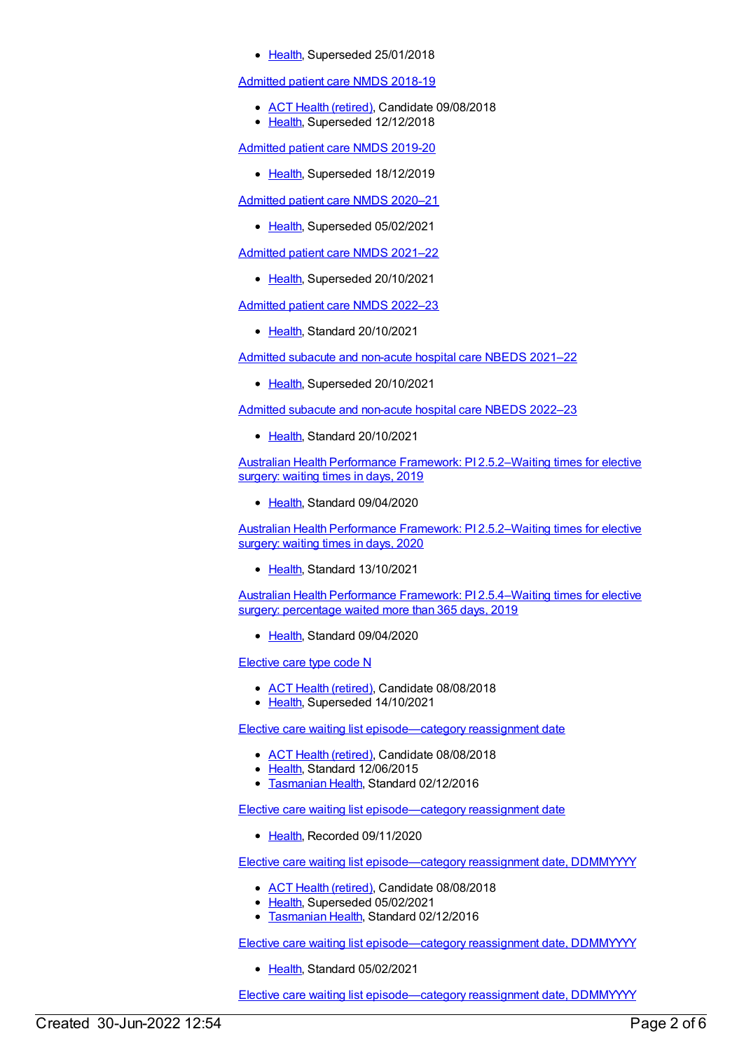• [Health](https://meteor.aihw.gov.au/RegistrationAuthority/12), Superseded 25/01/2018

#### [Admitted](https://meteor.aihw.gov.au/content/676382) patient care NMDS 2018-19

- ACT Health [\(retired\)](https://meteor.aihw.gov.au/RegistrationAuthority/9), Candidate 09/08/2018
- [Health](https://meteor.aihw.gov.au/RegistrationAuthority/12), Superseded 12/12/2018

[Admitted](https://meteor.aihw.gov.au/content/699728) patient care NMDS 2019-20

• [Health](https://meteor.aihw.gov.au/RegistrationAuthority/12), Superseded 18/12/2019

[Admitted](https://meteor.aihw.gov.au/content/713850) patient care NMDS 2020–21

• [Health](https://meteor.aihw.gov.au/RegistrationAuthority/12), Superseded 05/02/2021

[Admitted](https://meteor.aihw.gov.au/content/728439) patient care NMDS 2021–22

• [Health](https://meteor.aihw.gov.au/RegistrationAuthority/12), Superseded 20/10/2021

[Admitted](https://meteor.aihw.gov.au/content/742173) patient care NMDS 2022–23

• [Health](https://meteor.aihw.gov.au/RegistrationAuthority/12), Standard 20/10/2021

Admitted subacute and [non-acute](https://meteor.aihw.gov.au/content/727327) hospital care NBEDS 2021–22

• [Health](https://meteor.aihw.gov.au/RegistrationAuthority/12), Superseded 20/10/2021

Admitted subacute and [non-acute](https://meteor.aihw.gov.au/content/742177) hospital care NBEDS 2022–23

• [Health](https://meteor.aihw.gov.au/RegistrationAuthority/12), Standard 20/10/2021

Australian Health Performance Framework: PI [2.5.2–Waiting](https://meteor.aihw.gov.au/content/715376) times for elective surgery: waiting times in days, 2019

[Health](https://meteor.aihw.gov.au/RegistrationAuthority/12), Standard 09/04/2020

Australian Health Performance Framework: PI [2.5.2–Waiting](https://meteor.aihw.gov.au/content/728351) times for elective surgery: waiting times in days, 2020

• [Health](https://meteor.aihw.gov.au/RegistrationAuthority/12), Standard 13/10/2021

Australian Health Performance Framework: PI [2.5.4–Waiting](https://meteor.aihw.gov.au/content/716182) times for elective surgery: percentage waited more than 365 days, 2019

• [Health](https://meteor.aihw.gov.au/RegistrationAuthority/12), Standard 09/04/2020

[Elective](https://meteor.aihw.gov.au/content/604345) care type code N

- ACT Health [\(retired\)](https://meteor.aihw.gov.au/RegistrationAuthority/9), Candidate 08/08/2018
- [Health](https://meteor.aihw.gov.au/RegistrationAuthority/12), Superseded 14/10/2021

Elective care waiting list [episode—category](https://meteor.aihw.gov.au/content/598050) reassignment date

- ACT Health [\(retired\)](https://meteor.aihw.gov.au/RegistrationAuthority/9), Candidate 08/08/2018
- [Health](https://meteor.aihw.gov.au/RegistrationAuthority/12), Standard 12/06/2015
- **[Tasmanian](https://meteor.aihw.gov.au/RegistrationAuthority/15) Health, Standard 02/12/2016**

Elective care waiting list [episode—category](https://meteor.aihw.gov.au/content/732415) reassignment date

• [Health](https://meteor.aihw.gov.au/RegistrationAuthority/12), Recorded 09/11/2020

Elective care waiting list [episode—category](https://meteor.aihw.gov.au/content/613683) reassignment date, DDMMYYYY

- ACT Health [\(retired\)](https://meteor.aihw.gov.au/RegistrationAuthority/9), Candidate 08/08/2018
- [Health](https://meteor.aihw.gov.au/RegistrationAuthority/12), Superseded 05/02/2021
- [Tasmanian](https://meteor.aihw.gov.au/RegistrationAuthority/15) Health, Standard 02/12/2016

Elective care waiting list [episode—category](https://meteor.aihw.gov.au/content/732418) reassignment date, DDMMYYYY

• [Health](https://meteor.aihw.gov.au/RegistrationAuthority/12), Standard 05/02/2021

Elective care waiting list [episode—category](https://meteor.aihw.gov.au/content/598052) reassignment date, DDMMYYYY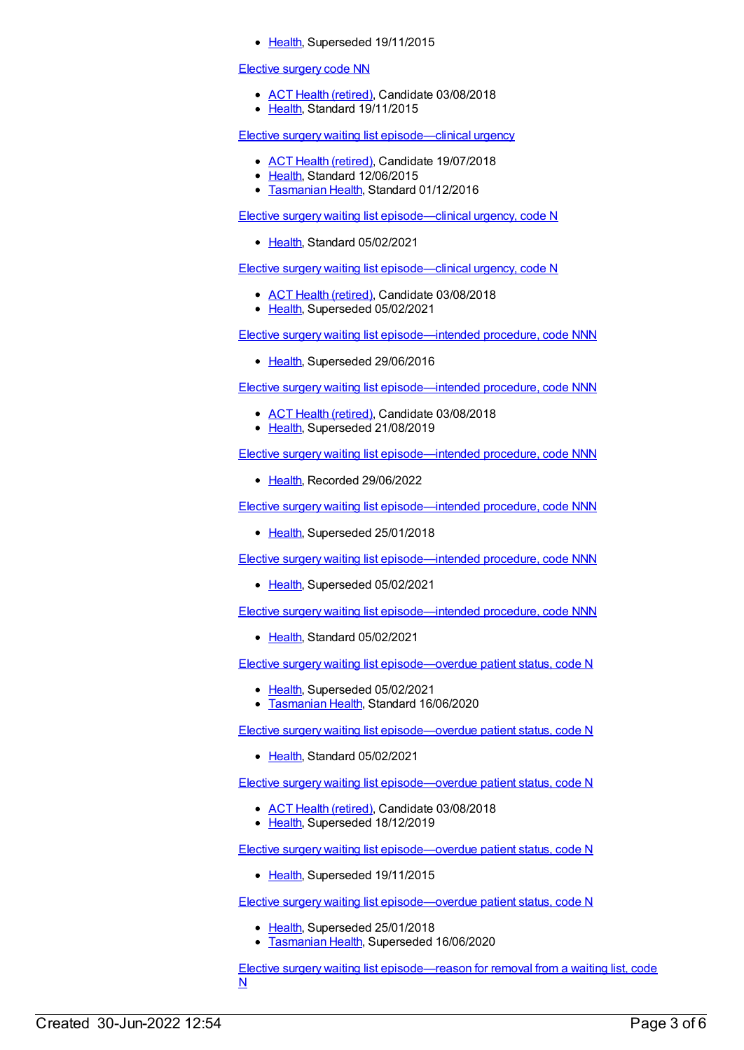• [Health](https://meteor.aihw.gov.au/RegistrationAuthority/12), Superseded 19/11/2015

#### [Elective](https://meteor.aihw.gov.au/content/605193) surgery code NN

- ACT Health [\(retired\)](https://meteor.aihw.gov.au/RegistrationAuthority/9), Candidate 03/08/2018
- [Health](https://meteor.aihw.gov.au/RegistrationAuthority/12), Standard 19/11/2015

Elective surgery waiting list [episode—clinical](https://meteor.aihw.gov.au/content/598030) urgency

- ACT Health [\(retired\)](https://meteor.aihw.gov.au/RegistrationAuthority/9), Candidate 19/07/2018
- Elealth, Standard 12/06/2015
- **[Tasmanian](https://meteor.aihw.gov.au/RegistrationAuthority/15) Health, Standard 01/12/2016**

Elective surgery waiting list [episode—clinical](https://meteor.aihw.gov.au/content/732423) urgency, code N

• [Health](https://meteor.aihw.gov.au/RegistrationAuthority/12), Standard 05/02/2021

Elective surgery waiting list [episode—clinical](https://meteor.aihw.gov.au/content/598034) urgency, code N

- ACT Health [\(retired\)](https://meteor.aihw.gov.au/RegistrationAuthority/9), Candidate 03/08/2018
- [Health](https://meteor.aihw.gov.au/RegistrationAuthority/12), Superseded 05/02/2021

Elective surgery waiting list [episode—intended](https://meteor.aihw.gov.au/content/605001) procedure, code NNN

• [Health](https://meteor.aihw.gov.au/RegistrationAuthority/12), Superseded 29/06/2016

Elective surgery waiting list [episode—intended](https://meteor.aihw.gov.au/content/683718) procedure, code NNN

- ACT Health [\(retired\)](https://meteor.aihw.gov.au/RegistrationAuthority/9), Candidate 03/08/2018
- [Health](https://meteor.aihw.gov.au/RegistrationAuthority/12), Superseded 21/08/2019

Elective surgery waiting list [episode—intended](https://meteor.aihw.gov.au/content/759947) procedure, code NNN

• [Health](https://meteor.aihw.gov.au/RegistrationAuthority/12), Recorded 29/06/2022

Elective surgery waiting list [episode—intended](https://meteor.aihw.gov.au/content/637500) procedure, code NNN

• [Health](https://meteor.aihw.gov.au/RegistrationAuthority/12), Superseded 25/01/2018

Elective surgery waiting list [episode—intended](https://meteor.aihw.gov.au/content/717635) procedure, code NNN

• [Health](https://meteor.aihw.gov.au/RegistrationAuthority/12), Superseded 05/02/2021

Elective surgery waiting list [episode—intended](https://meteor.aihw.gov.au/content/732485) procedure, code NNN

[Health](https://meteor.aihw.gov.au/RegistrationAuthority/12), Standard 05/02/2021

Elective surgery waiting list [episode—overdue](https://meteor.aihw.gov.au/content/716057) patient status, code N

- [Health](https://meteor.aihw.gov.au/RegistrationAuthority/12), Superseded 05/02/2021
- [Tasmanian](https://meteor.aihw.gov.au/RegistrationAuthority/15) Health, Standard 16/06/2020

Elective surgery waiting list [episode—overdue](https://meteor.aihw.gov.au/content/732461) patient status, code N

• [Health](https://meteor.aihw.gov.au/RegistrationAuthority/12), Standard 05/02/2021

Elective surgery waiting list [episode—overdue](https://meteor.aihw.gov.au/content/684818) patient status, code N

- ACT Health [\(retired\)](https://meteor.aihw.gov.au/RegistrationAuthority/9), Candidate 03/08/2018
- [Health](https://meteor.aihw.gov.au/RegistrationAuthority/12), Superseded 18/12/2019

Elective surgery waiting list [episode—overdue](https://meteor.aihw.gov.au/content/599651) patient status, code N

• [Health](https://meteor.aihw.gov.au/RegistrationAuthority/12), Superseded 19/11/2015

Elective surgery waiting list [episode—overdue](https://meteor.aihw.gov.au/content/613691) patient status, code N

- [Health](https://meteor.aihw.gov.au/RegistrationAuthority/12), Superseded 25/01/2018
- **[Tasmanian](https://meteor.aihw.gov.au/RegistrationAuthority/15) Health, Superseded 16/06/2020**

Elective surgery waiting list [episode—reason](https://meteor.aihw.gov.au/content/684830) for removal from a waiting list, code N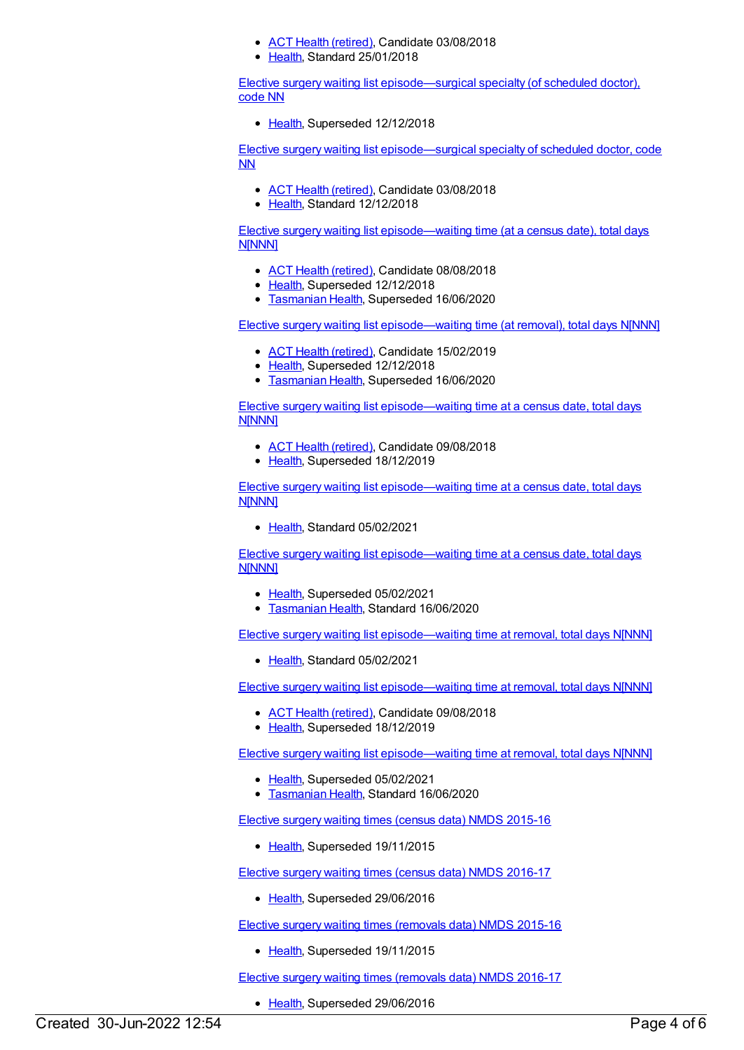- ACT Health [\(retired\)](https://meteor.aihw.gov.au/RegistrationAuthority/9), Candidate 03/08/2018
- [Health](https://meteor.aihw.gov.au/RegistrationAuthority/12), Standard 25/01/2018

Elective surgery waiting list [episode—surgical](https://meteor.aihw.gov.au/content/605195) specialty (of scheduled doctor), code NN

• [Health](https://meteor.aihw.gov.au/RegistrationAuthority/12), Superseded 12/12/2018

Elective surgery waiting list [episode—surgical](https://meteor.aihw.gov.au/content/689726) specialty of scheduled doctor, code NN

- ACT Health [\(retired\)](https://meteor.aihw.gov.au/RegistrationAuthority/9), Candidate 03/08/2018
- [Health](https://meteor.aihw.gov.au/RegistrationAuthority/12), Standard 12/12/2018

Elective surgery waiting list [episode—waiting](https://meteor.aihw.gov.au/content/598076) time (at a census date), total days N[NNN]

- ACT Health [\(retired\)](https://meteor.aihw.gov.au/RegistrationAuthority/9), Candidate 08/08/2018
- [Health](https://meteor.aihw.gov.au/RegistrationAuthority/12), Superseded 12/12/2018
- **[Tasmanian](https://meteor.aihw.gov.au/RegistrationAuthority/15) Health, Superseded 16/06/2020**

Elective surgery waiting list [episode—waiting](https://meteor.aihw.gov.au/content/598074) time (at removal), total days N[NNN]

- ACT Health [\(retired\)](https://meteor.aihw.gov.au/RegistrationAuthority/9), Candidate 15/02/2019
- [Health](https://meteor.aihw.gov.au/RegistrationAuthority/12), Superseded 12/12/2018
- **[Tasmanian](https://meteor.aihw.gov.au/RegistrationAuthority/15) Health, Superseded 16/06/2020**

Elective surgery waiting list [episode—waiting](https://meteor.aihw.gov.au/content/689765) time at a census date, total days **NINNNI** 

- ACT Health [\(retired\)](https://meteor.aihw.gov.au/RegistrationAuthority/9), Candidate 09/08/2018
- [Health](https://meteor.aihw.gov.au/RegistrationAuthority/12), Superseded 18/12/2019

Elective surgery waiting list [episode—waiting](https://meteor.aihw.gov.au/content/732468) time at a census date, total days N[NNN]

• [Health](https://meteor.aihw.gov.au/RegistrationAuthority/12), Standard 05/02/2021

Elective surgery waiting list [episode—waiting](https://meteor.aihw.gov.au/content/716100) time at a census date, total days N[NNN]

- [Health](https://meteor.aihw.gov.au/RegistrationAuthority/12), Superseded 05/02/2021
- **[Tasmanian](https://meteor.aihw.gov.au/RegistrationAuthority/15) Health, Standard 16/06/2020**

Elective surgery waiting list [episode—waiting](https://meteor.aihw.gov.au/content/732455) time at removal, total days N[NNN]

• [Health](https://meteor.aihw.gov.au/RegistrationAuthority/12), Standard 05/02/2021

Elective surgery waiting list [episode—waiting](https://meteor.aihw.gov.au/content/689791) time at removal, total days N[NNN]

- ACT Health [\(retired\)](https://meteor.aihw.gov.au/RegistrationAuthority/9), Candidate 09/08/2018
- [Health](https://meteor.aihw.gov.au/RegistrationAuthority/12), Superseded 18/12/2019

Elective surgery waiting list [episode—waiting](https://meteor.aihw.gov.au/content/716105) time at removal, total days N[NNN]

- [Health](https://meteor.aihw.gov.au/RegistrationAuthority/12), Superseded 05/02/2021
- **[Tasmanian](https://meteor.aihw.gov.au/RegistrationAuthority/15) Health, Standard 16/06/2020**

Elective surgery waiting times (census data) NMDS [2015-16](https://meteor.aihw.gov.au/content/600059)

• [Health](https://meteor.aihw.gov.au/RegistrationAuthority/12), Superseded 19/11/2015

Elective surgery waiting times (census data) NMDS [2016-17](https://meteor.aihw.gov.au/content/613687)

• [Health](https://meteor.aihw.gov.au/RegistrationAuthority/12), Superseded 29/06/2016

Elective surgery waiting times [\(removals](https://meteor.aihw.gov.au/content/600056) data) NMDS 2015-16

[Health](https://meteor.aihw.gov.au/RegistrationAuthority/12), Superseded 19/11/2015

Elective surgery waiting times [\(removals](https://meteor.aihw.gov.au/content/613685) data) NMDS 2016-17

• [Health](https://meteor.aihw.gov.au/RegistrationAuthority/12), Superseded 29/06/2016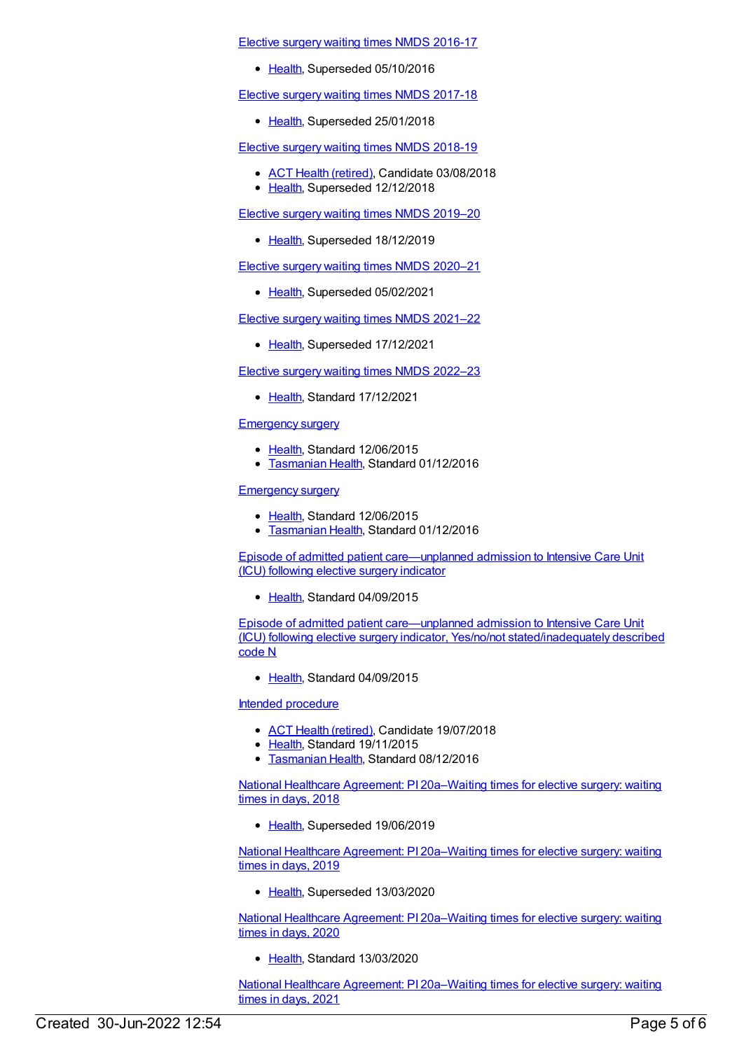#### Elective surgery waiting times NMDS [2016-17](https://meteor.aihw.gov.au/content/623795)

• [Health](https://meteor.aihw.gov.au/RegistrationAuthority/12), Superseded 05/10/2016

Elective surgery waiting times NMDS [2017-18](https://meteor.aihw.gov.au/content/651416)

• [Health](https://meteor.aihw.gov.au/RegistrationAuthority/12), Superseded 25/01/2018

Elective surgery waiting times NMDS [2018-19](https://meteor.aihw.gov.au/content/684521)

- ACT Health [\(retired\)](https://meteor.aihw.gov.au/RegistrationAuthority/9), Candidate 03/08/2018
- [Health](https://meteor.aihw.gov.au/RegistrationAuthority/12), Superseded 12/12/2018

Elective surgery waiting times NMDS [2019–20](https://meteor.aihw.gov.au/content/701975)

• [Health](https://meteor.aihw.gov.au/RegistrationAuthority/12), Superseded 18/12/2019

Elective surgery waiting times NMDS [2020–21](https://meteor.aihw.gov.au/content/714037)

• [Health](https://meteor.aihw.gov.au/RegistrationAuthority/12), Superseded 05/02/2021

Elective surgery waiting times NMDS [2021–22](https://meteor.aihw.gov.au/content/727350)

• [Health](https://meteor.aihw.gov.au/RegistrationAuthority/12), Superseded 17/12/2021

Elective surgery waiting times NMDS [2022–23](https://meteor.aihw.gov.au/content/742042)

• [Health](https://meteor.aihw.gov.au/RegistrationAuthority/12), Standard 17/12/2021

#### [Emergency](https://meteor.aihw.gov.au/content/534125) surgery

- [Health](https://meteor.aihw.gov.au/RegistrationAuthority/12), Standard 12/06/2015
- [Tasmanian](https://meteor.aihw.gov.au/RegistrationAuthority/15) Health, Standard 01/12/2016

#### **[Emergency](https://meteor.aihw.gov.au/content/534125) surgery**

- [Health](https://meteor.aihw.gov.au/RegistrationAuthority/12), Standard 12/06/2015
- **[Tasmanian](https://meteor.aihw.gov.au/RegistrationAuthority/15) Health, Standard 01/12/2016**

Episode of admitted patient [care—unplanned](https://meteor.aihw.gov.au/content/591978) admission to Intensive Care Unit (ICU) following elective surgery indicator

[Health](https://meteor.aihw.gov.au/RegistrationAuthority/12), Standard 04/09/2015

Episode of admitted patient care—unplanned admission to Intensive Care Unit (ICU) following elective surgery indicator, Yes/no/not [stated/inadequately](https://meteor.aihw.gov.au/content/591990) described code N

[Health](https://meteor.aihw.gov.au/RegistrationAuthority/12), Standard 04/09/2015

#### Intended [procedure](https://meteor.aihw.gov.au/content/616325)

- ACT Health [\(retired\)](https://meteor.aihw.gov.au/RegistrationAuthority/9), Candidate 19/07/2018
- [Health](https://meteor.aihw.gov.au/RegistrationAuthority/12), Standard 19/11/2015
- **[Tasmanian](https://meteor.aihw.gov.au/RegistrationAuthority/15) Health, Standard 08/12/2016**

National Healthcare Agreement: PI [20a–Waiting](https://meteor.aihw.gov.au/content/658495) times for elective surgery: waiting times in days, 2018

• [Health](https://meteor.aihw.gov.au/RegistrationAuthority/12), Superseded 19/06/2019

National Healthcare Agreement: PI [20a–Waiting](https://meteor.aihw.gov.au/content/698999) times for elective surgery: waiting times in days, 2019

• [Health](https://meteor.aihw.gov.au/RegistrationAuthority/12), Superseded 13/03/2020

National Healthcare Agreement: PI [20a–Waiting](https://meteor.aihw.gov.au/content/716570) times for elective surgery: waiting times in days, 2020

[Health](https://meteor.aihw.gov.au/RegistrationAuthority/12), Standard 13/03/2020

National Healthcare Agreement: PI [20a–Waiting](https://meteor.aihw.gov.au/content/725789) times for elective surgery: waiting times in days, 2021